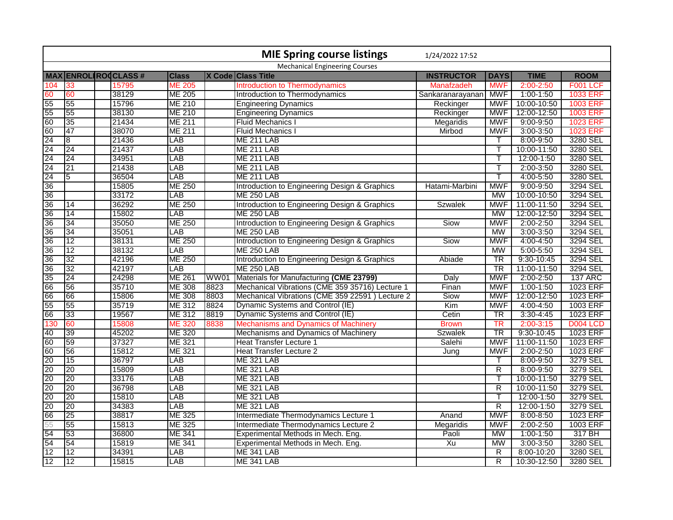|                 |                 |                             |                           |      | <b>MIE Spring course listings</b>               | 1/24/2022 17:52   |                         |               |                 |
|-----------------|-----------------|-----------------------------|---------------------------|------|-------------------------------------------------|-------------------|-------------------------|---------------|-----------------|
|                 |                 |                             |                           |      | <b>Mechanical Engineering Courses</b>           |                   |                         |               |                 |
|                 |                 | <b>MAX ENROL ROCCLASS #</b> | <b>Class</b>              |      | X Code Class Title                              | <b>INSTRUCTOR</b> | <b>DAYS</b>             | <b>TIME</b>   | <b>ROOM</b>     |
| 104             | $ 33\rangle$    | 15795                       | <b>ME 205</b>             |      | Introduction to Thermodynamics                  | Manafzadeh        | <b>MWF</b>              | $2:00 - 2:50$ | <b>F001 LCF</b> |
| 60              | 60              | 38129                       | <b>ME 205</b>             |      | Introduction to Thermodynamics                  | Sankaranarayanan  | <b>MWF</b>              | $1:00-1:50$   | <b>1033 ERF</b> |
| 55              | 55              | 15796                       | <b>ME 210</b>             |      | <b>Engineering Dynamics</b>                     | Reckinger         | MWF                     | 10:00-10:50   | <b>1003 ERF</b> |
| 55              | 55              | 38130                       | <b>ME 210</b>             |      | <b>Engineering Dynamics</b>                     | Reckinger         | <b>MWF</b>              | 12:00-12:50   | <b>1003 ERF</b> |
| 60              | 35              | 21434                       | <b>ME 211</b>             |      | <b>Fluid Mechanics I</b>                        | Megaridis         | <b>MWF</b>              | $9:00 - 9:50$ | <b>1023 ERF</b> |
| 60              | 47              | 38070                       | ME 211                    |      | <b>Fluid Mechanics I</b>                        | Mirbod            | <b>MWF</b>              | $3:00 - 3:50$ | <b>1023 ERF</b> |
| 24              | $\overline{8}$  | 21436                       | LAB                       |      | <b>ME 211 LAB</b>                               |                   |                         | 8:00-9:50     | 3280 SEL        |
| 24              | 24              | 21437                       | LAB                       |      | <b>ME 211 LAB</b>                               |                   |                         | 10:00-11:50   | 3280 SEL        |
| 24              | 24              | 34951                       | LAB                       |      | <b>ME 211 LAB</b>                               |                   |                         | 12:00-1:50    | 3280 SEL        |
| 24              | 21              | 21438                       | LAB                       |      | <b>ME 211 LAB</b>                               |                   |                         | 2:00-3:50     | 3280 SEL        |
| $\overline{24}$ | 15              | 36504                       | LAB                       |      | <b>ME 211 LAB</b>                               |                   | T                       | 4:00-5:50     | 3280 SEL        |
| 36              |                 | 15805                       | <b>ME 250</b>             |      | Introduction to Engineering Design & Graphics   | Hatami-Marbini    | <b>MWF</b>              | 9:00-9:50     | 3294 SEL        |
| 36              |                 | 33172                       | LAB                       |      | <b>ME 250 LAB</b>                               |                   | <b>MW</b>               | 10:00-10:50   | 3294 SEL        |
| 36              | 14              | 36292                       | <b>ME 250</b>             |      | Introduction to Engineering Design & Graphics   | <b>Szwalek</b>    | <b>MWF</b>              | 11:00-11:50   | 3294 SEL        |
| 36              | 14              | 15802                       | LAB                       |      | <b>ME 250 LAB</b>                               |                   | <b>MW</b>               | 12:00-12:50   | 3294 SEL        |
| 36              | 34              | 35050                       | <b>ME 250</b>             |      | Introduction to Engineering Design & Graphics   | Siow              | <b>MWF</b>              | $2:00 - 2:50$ | 3294 SEL        |
| $\overline{36}$ | 34              | 35051                       | <b>LAB</b>                |      | <b>ME 250 LAB</b>                               |                   | <b>MW</b>               | $3:00 - 3:50$ | 3294 SEL        |
| 36              | $ 12\rangle$    | 38131                       | <b>ME 250</b>             |      | Introduction to Engineering Design & Graphics   | Siow              | <b>MWF</b>              | 4:00-4:50     | 3294 SEL        |
| 36              | 12              | 38132                       | LAB                       |      | <b>ME 250 LAB</b>                               |                   | <b>MW</b>               | $5:00 - 5:50$ | 3294 SEL        |
| 36              | 32              | 42196                       | <b>ME 250</b>             |      | Introduction to Engineering Design & Graphics   | Abiade            | <b>TR</b>               | 9:30-10:45    | 3294 SEL        |
| 36              | $\overline{32}$ | 42197                       | LAB                       |      | <b>ME 250 LAB</b>                               |                   | $\overline{\text{TR}}$  | 11:00-11:50   | 3294 SEL        |
| 35              | 24              | 24298                       | <b>ME 261</b>             | WW01 | Materials for Manufacturing (CME 23799)         | Daly              | <b>MWF</b>              | $2:00 - 2:50$ | <b>137 ARC</b>  |
| 66              | 56              | 35710                       | <b>ME 308</b>             | 8823 | Mechanical Vibrations (CME 359 35716) Lecture 1 | Finan             | <b>MWF</b>              | $1:00-1:50$   | 1023 ERF        |
| 66              | 66              | 15806                       | <b>ME 308</b>             | 8803 | Mechanical Vibrations (CME 359 22591) Lecture 2 | Siow              | <b>MWF</b>              | 12:00-12:50   | 1023 ERF        |
| 55              | 55              | 35719                       | ME 312                    | 8824 | Dynamic Systems and Control (IE)                | Kim               | <b>MWF</b>              | 4:00-4:50     | 1003 ERF        |
| 66              | 33              | 19567                       | ME 312                    | 8819 | Dynamic Systems and Control (IE)                | Cetin             | TR                      | $3:30-4:45$   | 1023 ERF        |
| 130             | 60              | 15808                       | ME 320                    | 8838 | Mechanisms and Dynamics of Machinery            | <b>Brown</b>      | TR                      | $2:00 - 3:15$ | <b>D004 LCD</b> |
| 40              | 39              | 45202                       | <b>ME 320</b>             |      | Mechanisms and Dynamics of Machinery            | <b>Szwalek</b>    | $\overline{\text{TR}}$  | 9:30-10:45    | 1023 ERF        |
| 60              | 59              | 37327                       | ME 321                    |      | <b>Heat Transfer Lecture 1</b>                  | Salehi            | <b>MWF</b>              | 11:00-11:50   | 1023 ERF        |
| 60              | 56              | 15812                       | <b>ME 321</b>             |      | <b>Heat Transfer Lecture 2</b>                  | Jung              | <b>MWF</b>              | $2:00 - 2:50$ | 1023 ERF        |
| 20              | 15              | 36797                       | LAB                       |      | <b>ME 321 LAB</b>                               |                   |                         | 8:00-9:50     | 3279 SEL        |
| $\overline{20}$ | $\overline{20}$ | 15809                       | $\overline{\mathsf{LAB}}$ |      | <b>ME 321 LAB</b>                               |                   | $\overline{\mathsf{R}}$ | 8:00-9:50     | 3279 SEL        |
| 20              | 20              | 33176                       | LAB                       |      | <b>ME 321 LAB</b>                               |                   | т                       | 10:00-11:50   | 3279 SEL        |
| 20              | 20              | 36798                       | LAB                       |      | <b>ME 321 LAB</b>                               |                   | $\overline{R}$          | 10:00-11:50   | 3279 SEL        |
| 20              | 20              | 15810                       | LAB                       |      | <b>ME 321 LAB</b>                               |                   |                         | 12:00-1:50    | 3279 SEL        |
| 20              | $\overline{20}$ | 34383                       | LAB                       |      | <b>ME 321 LAB</b>                               |                   | $\overline{R}$          | 12:00-1:50    | 3279 SEL        |
| 66              | 25              | 38817                       | <b>ME 325</b>             |      | Intermediate Thermodynamics Lecture 1           | Anand             | <b>MWF</b>              | 8:00-8:50     | 1023 ERF        |
| 55              | 55              | 15813                       | ME 325                    |      | Intermediate Thermodynamics Lecture 2           | Megaridis         | <b>MWF</b>              | 2:00-2:50     | 1003 ERF        |
| 54              | 53              | 36800                       | <b>ME 341</b>             |      | Experimental Methods in Mech. Eng.              | Paoli             | <b>MW</b>               | $1:00-1:50$   | 317 BH          |
| 54              | 54              | 15819                       | <b>ME 341</b>             |      | Experimental Methods in Mech. Eng.              | Xu                | <b>MW</b>               | $3:00 - 3:50$ | 3280 SEL        |
| 12              | 12              | 34391                       | LAB                       |      | <b>ME 341 LAB</b>                               |                   | $\overline{R}$          | 8:00-10:20    | 3280 SEL        |
| 12              | 112             | 15815                       | LAB                       |      | <b>ME 341 LAB</b>                               |                   | $\overline{\mathsf{R}}$ | 10:30-12:50   | 3280 SEL        |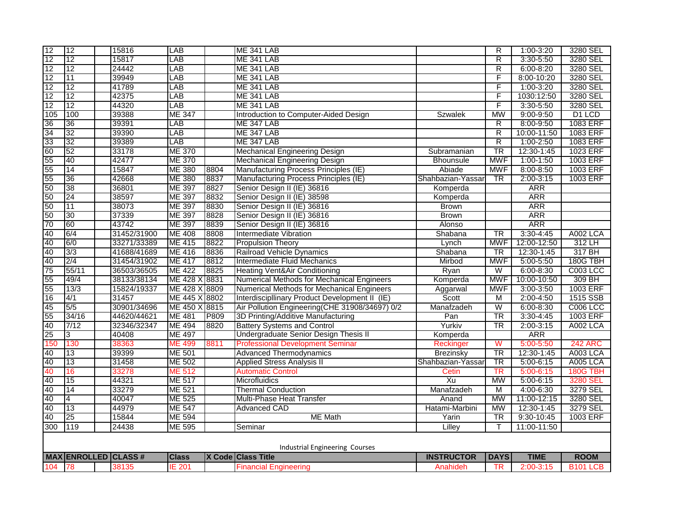| $\overline{12}$ | $ 12\rangle$    | 15816                       | LAB                       |      | ME 341 LAB                                     |                   | R                        | 1:00-3:20     | 3280 SEL        |
|-----------------|-----------------|-----------------------------|---------------------------|------|------------------------------------------------|-------------------|--------------------------|---------------|-----------------|
| 12              | $\overline{12}$ | 15817                       | LAB                       |      | <b>ME 341 LAB</b>                              |                   | $\overline{R}$           | 3:30-5:50     | 3280 SEL        |
| 12              | 12              | 24442                       | LAB                       |      | ME 341 LAB                                     |                   | R                        | $6:00 - 8:20$ | 3280 SEL        |
| 12              | 11              | 39949                       | LAB                       |      | ME 341 LAB                                     |                   | F                        | 8:00-10:20    | 3280 SEL        |
| 12              | 12              | 41789                       | LAB                       |      | ME 341 LAB                                     |                   | F                        | $1:00 - 3:20$ | 3280 SEL        |
| 12              | 12              | 42375                       | LAB                       |      | ME 341 LAB                                     |                   | F                        | 1030:12:50    | 3280 SEL        |
| 12              | 12              | 44320                       | $\overline{\mathsf{LAB}}$ |      | <b>ME 341 LAB</b>                              |                   | F                        | $3:30 - 5:50$ | 3280 SEL        |
| 105             | 100             | 39388                       | <b>ME 347</b>             |      | Introduction to Computer-Aided Design          | <b>Szwalek</b>    | MW                       | $9:00 - 9:50$ | D1 LCD          |
| 36              | 36              | 39391                       | LAB                       |      | ME 347 LAB                                     |                   | R                        | 8:00-9:50     | 1083 ERF        |
| 34              | 32              | 39390                       | LAB                       |      | ME 347 LAB                                     |                   | $\overline{R}$           | 10:00-11:50   | 1083 ERF        |
| 33              | 32              | 39389                       | LAB                       |      | ME 347 LAB                                     |                   | $\overline{R}$           | $1:00 - 2:50$ | 1083 ERF        |
| 60              | 52              | 33178                       | <b>ME 370</b>             |      | Mechanical Engineering Design                  | Subramanian       | TR                       | 12:30-1:45    | 1023 ERF        |
| 55              | 40              | 42477                       | <b>ME 370</b>             |      | <b>Mechanical Engineering Design</b>           | <b>Bhounsule</b>  | <b>MWF</b>               | $1:00-1:50$   | 1003 ERF        |
| 55              | 14              | 15847                       | <b>ME 380</b>             | 8804 | Manufacturing Process Principles (IE)          | Abiade            | <b>MWF</b>               | 8:00-8:50     | 1003 ERF        |
| 55              | 36              | 42668                       | <b>ME 380</b>             | 8837 | Manufacturing Process Principles (IE)          | Shahbazian-Yassar | TR                       | $2:00-3:15$   | 1003 ERF        |
| 50              | 38              | 36801                       | <b>ME 397</b>             | 8827 | Senior Design II (IE) 36816                    | Komperda          |                          | <b>ARR</b>    |                 |
| 50              | 24              | 38597                       | <b>ME 397</b>             | 8832 | Senior Design II (IE) 38598                    | Komperda          |                          | <b>ARR</b>    |                 |
| 50              | 11              | 38073                       | <b>ME 397</b>             | 8830 | Senior Design II (IE) 36816                    | <b>Brown</b>      |                          | <b>ARR</b>    |                 |
| 50              | 30              | 37339                       | <b>ME 397</b>             | 8828 | Senior Design II (IE) 36816                    | <b>Brown</b>      |                          | <b>ARR</b>    |                 |
| 70              | 60              | 43742                       | <b>ME 397</b>             | 8839 | Senior Design II (IE) 36816                    | Alonso            |                          | <b>ARR</b>    |                 |
| 40              | 6/4             | 31452/31900                 | <b>ME 408</b>             | 8808 | Intermediate Vibration                         | Shabana           | TR                       | $3:30-4:45$   | A002 LCA        |
| 40              | 6/0             | 33271/33389                 | ME 415                    | 8822 | <b>Propulsion Theory</b>                       | Lynch             | <b>MWF</b>               | 12:00-12:50   | 312 LH          |
| 40              | 3/3             | 41688/41689                 | ME 416                    | 8836 | Railroad Vehicle Dynamics                      | Shabana           | $\overline{\text{TR}}$   | 12:30-1:45    | 317 BH          |
| 40              | 2/4             | 31454/31902                 | <b>ME 417</b>             | 8812 | Intermediate Fluid Mechanics                   | Mirbod            | <b>MWF</b>               | 5:00-5:50     | <b>180G TBH</b> |
| 75              | 55/11           | 36503/36505                 | <b>ME 422</b>             | 8825 | <b>Heating Vent&amp;Air Conditioning</b>       | Ryan              | W                        | $6:00 - 8:30$ | C003 LCC        |
| 55              | 49/4            | 38133/38134                 | ME 428 X 8831             |      | Numerical Methods for Mechanical Engineers     | Komperda          | <b>MWF</b>               | 10:00-10:50   | 309 BH          |
| 55              | 13/3            | 15824/19337                 | ME 428 X 8809             |      | Numerical Methods for Mechanical Engineers     | Aggarwal          | <b>MWF</b>               | $3:00 - 3:50$ | 1003 ERF        |
| 16              | 4/1             | 31457                       | ME 445 X 8802             |      | Interdisciplinary Product Development II (IE)  | Scott             | M                        | $2:00 - 4:50$ | 1515 SSB        |
| 45              | 5/5             | 30901/34696                 | ME 450 X 8815             |      | Air Pollution Engineering(CHE 31908/34697) 0/2 | Manafzadeh        | W                        | $6:00 - 8:30$ | <b>C006 LCC</b> |
| 55              | 34/16           | 44620/44621                 | <b>ME 481</b>             | P809 | 3D Printing/Additive Manufacturing             | Pan               | $\overline{\text{TR}}$   | $3:30-4:45$   | 1003 ERF        |
| 40              | 7/12            | 32346/32347                 | <b>ME 494</b>             | 8820 | <b>Battery Systems and Control</b>             | Yurkiv            | $\overline{\texttt{TR}}$ | $2:00 - 3:15$ | A002 LCA        |
| 25              | 3               | 40408                       | <b>ME 497</b>             |      | Undergraduate Senior Design Thesis II          | Komperda          |                          | <b>ARR</b>    |                 |
| 150             | 130             | 38363                       | <b>ME 499</b>             | 8811 | <b>Professional Development Seminar</b>        | Reckinger         | $\overline{\mathsf{W}}$  | 5:00-5:50     | <b>242 ARC</b>  |
| 40              | 13              | 39399                       | <b>ME 501</b>             |      | <b>Advanced Thermodynamics</b>                 | <b>Brezinsky</b>  | $\overline{\text{TR}}$   | 12:30-1:45    | <b>A003 LCA</b> |
| 40              | 13              | 31458                       | <b>ME 502</b>             |      | <b>Applied Stress Analysis II</b>              | Shahbazian-Yassar | $\overline{\text{TR}}$   | $5:00 - 6:15$ | <b>A005 LCA</b> |
| 40              | 16              | 33278                       | ME 512                    |      | <b>Automatic Control</b>                       | Cetin             | <b>TR</b>                | $5:00 - 6:15$ | 180G TBH        |
| 40              | 15              | 44321                       | <b>ME 517</b>             |      | Microfluidics                                  | Xu                | <b>MW</b>                | $5:00 - 6:15$ | 3280 SEL        |
| 40              | 14              | 33279                       | ME 521                    |      | <b>Thermal Conduction</b>                      | Manafzadeh        | M                        | 4:00-6:30     | 3279 SEL        |
| 40              | 4               | 40047                       | ME 525                    |      | Multi-Phase Heat Transfer                      | Anand             | <b>MW</b>                | 11:00-12:15   | 3280 SEL        |
| 40              | 13              | 44979                       | <b>ME 547</b>             |      | <b>Advanced CAD</b>                            | Hatami-Marbini    | <b>MW</b>                | 12:30-1:45    | 3279 SEL        |
| 40              | 25              | 15844                       | <b>ME 594</b>             |      | <b>ME Math</b>                                 | Yarin             | TR                       | 9:30-10:45    | 1003 ERF        |
| 300             | 119             | 24438                       | <b>ME 595</b>             |      | Seminar                                        | Lilley            | т                        | 11:00-11:50   |                 |
|                 |                 |                             |                           |      |                                                |                   |                          |               |                 |
|                 |                 |                             |                           |      | Industrial Engineering Courses                 |                   |                          |               |                 |
|                 |                 | <b>MAX ENROLLED CLASS #</b> | <b>Class</b>              |      | X Code Class Title                             | <b>INSTRUCTOR</b> | <b>DAYS</b>              | <b>TIME</b>   | <b>ROOM</b>     |
| 104             | 78              | 38135                       | <b>IE 201</b>             |      | <b>Financial Engineering</b>                   | Anahideh          | <b>TR</b>                | $2:00 - 3:15$ | <b>B101 LCB</b> |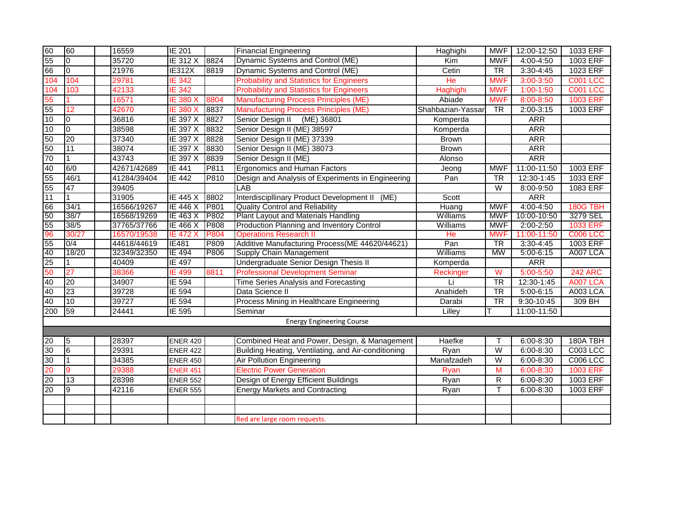| 60              | 60              | 16559       | <b>IE 201</b>   |             | <b>Financial Engineering</b>                        | Haghighi          | MWF                     | 12:00-12:50   | 1033 ERF        |
|-----------------|-----------------|-------------|-----------------|-------------|-----------------------------------------------------|-------------------|-------------------------|---------------|-----------------|
| 55              | $\overline{10}$ | 35720       | <b>IE 312 X</b> | 8824        | Dynamic Systems and Control (ME)                    | Kim               | <b>MWF</b>              | 4:00-4:50     | 1003 ERF        |
| 66              | $\overline{0}$  | 21976       | <b>IE312X</b>   | 8819        | Dynamic Systems and Control (ME)                    | Cetin             | $\overline{\text{TR}}$  | $3:30-4:45$   | 1023 ERF        |
| 104             | 104             | 29781       | <b>IE 342</b>   |             | <b>Probability and Statistics for Engineers</b>     | He                | <b>MWF</b>              | 3:00-3:50     | <b>C001 LCC</b> |
| 104             | 103             | 42133       | <b>IE 342</b>   |             | <b>Probability and Statistics for Engineers</b>     | Haghighi          | <b>MWF</b>              | $1:00-1:50$   | <b>C001 LCC</b> |
| 55              |                 | 16571       | <b>IE 380 X</b> | 8804        | <b>Manufacturing Process Principles (ME)</b>        | Abiade            | <b>MWF</b>              | 8:00-8:50     | <b>1003 ERF</b> |
| 55              | 12              | 42670       | <b>IE 380 X</b> | 8837        | <b>Manufacturing Process Principles (ME)</b>        | Shahbazian-Yassar | $\overline{\text{TR}}$  | 2:00-3:15     | 1003 ERF        |
| 10              | I0              | 36816       | IE 397 X        | 8827        | Senior Design II (ME) 36801                         | Komperda          |                         | <b>ARR</b>    |                 |
| 10              | Io.             | 38598       | <b>IE 397 X</b> | 8832        | Senior Design II (ME) 38597                         | Komperda          |                         | <b>ARR</b>    |                 |
| 50              | 20              | 37340       | IE 397 X        | 8828        | Senior Design II (ME) 37339                         | <b>Brown</b>      |                         | <b>ARR</b>    |                 |
| 50              | 11              | 38074       | <b>IE 397 X</b> | 8830        | Senior Design II (ME) 38073                         | <b>Brown</b>      |                         | <b>ARR</b>    |                 |
| 70              |                 | 43743       | <b>IE 397 X</b> | 8839        | Senior Design II (ME)                               | Alonso            |                         | <b>ARR</b>    |                 |
| 40              | 6/0             | 42671/42689 | <b>IE 441</b>   | P811        | <b>Ergonomics and Human Factors</b>                 | Jeong             | <b>MWF</b>              | 11:00-11:50   | 1003 ERF        |
| 55              | 46/1            | 41284/39404 | <b>IE 442</b>   | P810        | Design and Analysis of Experiments in Engineering   | Pan               | <b>TR</b>               | 12:30-1:45    | 1033 ERF        |
| 55              | 47              | 39405       |                 |             | <b>LAB</b>                                          |                   | W                       | 8:00-9:50     | 1083 ERF        |
| 11              |                 | 31905       | <b>IE 445 X</b> | 8802        | Interdiscipllinary Product Development II (ME)      | Scott             |                         | <b>ARR</b>    |                 |
| 66              | 34/1            | 16566/19267 | <b>IE 446 X</b> | <b>P801</b> | <b>Quality Control and Reliability</b>              | Huang             | <b>MWF</b>              | 4:00-4:50     | 180G TBH        |
| 50              | 38/7            | 16568/19269 | IE 463 X        | P802        | Plant Layout and Materials Handling                 | Williams          | <b>MWF</b>              | 10:00-10:50   | 3279 SEL        |
| 55              | 38/5            | 37765/37766 | IE 466 X        | <b>P808</b> | Production Planning and Inventory Control           | Williams          | <b>MWF</b>              | 2:00-2:50     | <b>1033 ERF</b> |
| 96              | 30/27           | 16570/19538 | <b>IE 472 X</b> | <b>P804</b> | <b>Operations Research II</b>                       | He                | <b>MWF</b>              | 11:00-11:50   | <b>C006 LCC</b> |
| 55              | 0/4             | 44618/44619 | <b>IE481</b>    | P809        | Additive Manufacturing Process (ME 44620/44621)     | Pan               | $\overline{\text{TR}}$  | $3:30-4:45$   | 1003 ERF        |
| 40              | 18/20           | 32349/32350 | <b>IE 494</b>   | P806        | Supply Chain Management                             | Williams          | MW                      | $5:00 - 6:15$ | A007 LCA        |
| 25              |                 | 40409       | <b>IE 497</b>   |             | Undergraduate Senior Design Thesis II               | Komperda          |                         | <b>ARR</b>    |                 |
| 50              | 27              | 38366       | <b>IE 499</b>   | 8811        | <b>Professional Development Seminar</b>             | Reckinger         | $\overline{\mathsf{W}}$ | 5:00-5:50     | <b>242 ARC</b>  |
| 40              | 20              | 34907       | <b>IE 594</b>   |             | <b>Time Series Analysis and Forecasting</b>         | Li                | $\overline{\text{TR}}$  | 12:30-1:45    | <b>A007 LCA</b> |
| 40              | 23              | 39728       | IE 594          |             | Data Science II                                     | Anahideh          | $\overline{\text{TR}}$  | $5:00 - 6:15$ | A003 LCA        |
| 40              | 10              | 39727       | IE 594          |             | Process Mining in Healthcare Engineering            | Darabi            | $\overline{\text{TR}}$  | 9:30-10:45    | 309 BH          |
| 200             | 59              | 24441       | IE 595          |             | Seminar                                             | Lilley            | T                       | 11:00-11:50   |                 |
|                 |                 |             |                 |             | <b>Energy Engineering Course</b>                    |                   |                         |               |                 |
|                 |                 |             |                 |             |                                                     |                   |                         |               |                 |
| 20              | 5               | 28397       | <b>ENER 420</b> |             | Combined Heat and Power, Design, & Management       | Haefke            | Т                       | 6:00-8:30     | 180A TBH        |
| 30              | $\overline{6}$  | 29391       | <b>ENER 422</b> |             | Building Heating, Ventilating, and Air-conditioning | Ryan              | $\overline{\mathsf{W}}$ | $6:00 - 8:30$ | <b>C003 LCC</b> |
| 30              | $\overline{1}$  | 34385       | <b>ENER 450</b> |             | <b>Air Pollution Engineering</b>                    | Manafzadeh        | W                       | 6:00-8:30     | <b>C006 LCC</b> |
| 20              | $\mathbf{Q}$    | 29388       | <b>ENER 451</b> |             | <b>Electric Power Generation</b>                    | Ryan              | M                       | 6:00-8:30     | <b>1003 ERF</b> |
| $\overline{20}$ | $\overline{13}$ | 28398       | <b>ENER 552</b> |             | Design of Energy Efficient Buildings                | Ryan              | $\mathsf{R}$            | $6:00 - 8:30$ | 1003 ERF        |
| $\overline{20}$ | खि              | 42116       | <b>ENER 555</b> |             | <b>Energy Markets and Contracting</b>               | Ryan              | $\overline{\mathsf{T}}$ | $6:00 - 8:30$ | 1003 ERF        |
|                 |                 |             |                 |             |                                                     |                   |                         |               |                 |
|                 |                 |             |                 |             |                                                     |                   |                         |               |                 |
|                 |                 |             |                 |             | Red are large room requests.                        |                   |                         |               |                 |